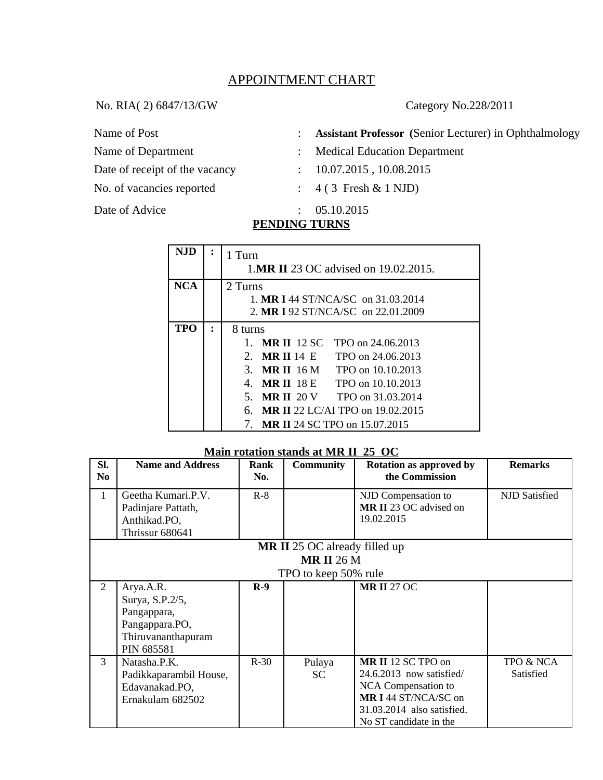# APPOINTMENT CHART

No. RIA( 2) 6847/13/GW Category No.228/2011

Name of Post : Assistant Professor (Senior Lecturer) in Ophthalmology

- Name of Department : Medical Education Department
- Date of receipt of the vacancy : 10.07.2015, 10.08.2015
- No. of vacancies reported : 4 ( 3 Fresh & 1 NJD)
- Date of Advice : 05.10.2015

## **PENDING TURNS**

| <b>NJD</b> |   | 1 Turn<br>1.MR II 23 OC advised on 19.02.2015.     |  |  |  |
|------------|---|----------------------------------------------------|--|--|--|
| NCA        |   | 2 Turns                                            |  |  |  |
|            |   | 1. MR I 44 ST/NCA/SC on 31.03.2014                 |  |  |  |
|            |   | 2. MR I 92 ST/NCA/SC on 22.01.2009                 |  |  |  |
| TPO        | ٠ | 8 turns                                            |  |  |  |
|            |   | <b>MR II</b> 12 SC<br>TPO on 24,06,2013<br>$1_{-}$ |  |  |  |
|            |   | 2. MR II 14 E<br>TPO on 24.06.2013                 |  |  |  |
|            |   | 3. MR II 16 M<br>TPO on 10.10.2013                 |  |  |  |
|            |   | 4. MRII 18 E<br>TPO on 10.10.2013                  |  |  |  |
|            |   | 5. MR II 20 V TPO on 31.03.2014                    |  |  |  |
|            |   | <b>MR II 22 LC/AI TPO on 19.02.2015</b><br>6.      |  |  |  |
|            |   | 7. MR II 24 SC TPO on 15.07.2015                   |  |  |  |

### **Main rotation stands at MR II 25 OC**

| SI.            | <b>Name and Address</b> | Rank   | <b>Community</b>                     | <b>Rotation as approved by</b> | <b>Remarks</b> |
|----------------|-------------------------|--------|--------------------------------------|--------------------------------|----------------|
| No.            |                         | No.    |                                      | the Commission                 |                |
| $\mathbf{1}$   | Geetha Kumari.P.V.      | $R-8$  |                                      | NJD Compensation to            | NJD Satisfied  |
|                | Padinjare Pattath,      |        |                                      | <b>MR II 23 OC advised on</b>  |                |
|                | Anthikad.PO,            |        |                                      | 19.02.2015                     |                |
|                | Thrissur 680641         |        |                                      |                                |                |
|                |                         |        | <b>MR II 25 OC already filled up</b> |                                |                |
|                |                         |        | <b>MR II 26 M</b>                    |                                |                |
|                |                         |        | TPO to keep 50% rule                 |                                |                |
| $\overline{2}$ | Arya.A.R.               | $R-9$  |                                      | <b>MR II 27 OC</b>             |                |
|                | Surya, S.P.2/5,         |        |                                      |                                |                |
|                | Pangappara,             |        |                                      |                                |                |
|                | Pangappara.PO,          |        |                                      |                                |                |
|                | Thiruvananthapuram      |        |                                      |                                |                |
|                | PIN 685581              |        |                                      |                                |                |
| 3              | Natasha.P.K.            | $R-30$ | Pulaya                               | MR II 12 SC TPO on             | TPO & NCA      |
|                | Padikkaparambil House,  |        | <b>SC</b>                            | 24.6.2013 now satisfied/       | Satisfied      |
|                | Edavanakad.PO,          |        |                                      | <b>NCA</b> Compensation to     |                |
|                | Ernakulam 682502        |        |                                      | MR I 44 ST/NCA/SC on           |                |
|                |                         |        |                                      | 31.03.2014 also satisfied.     |                |
|                |                         |        |                                      | No ST candidate in the         |                |